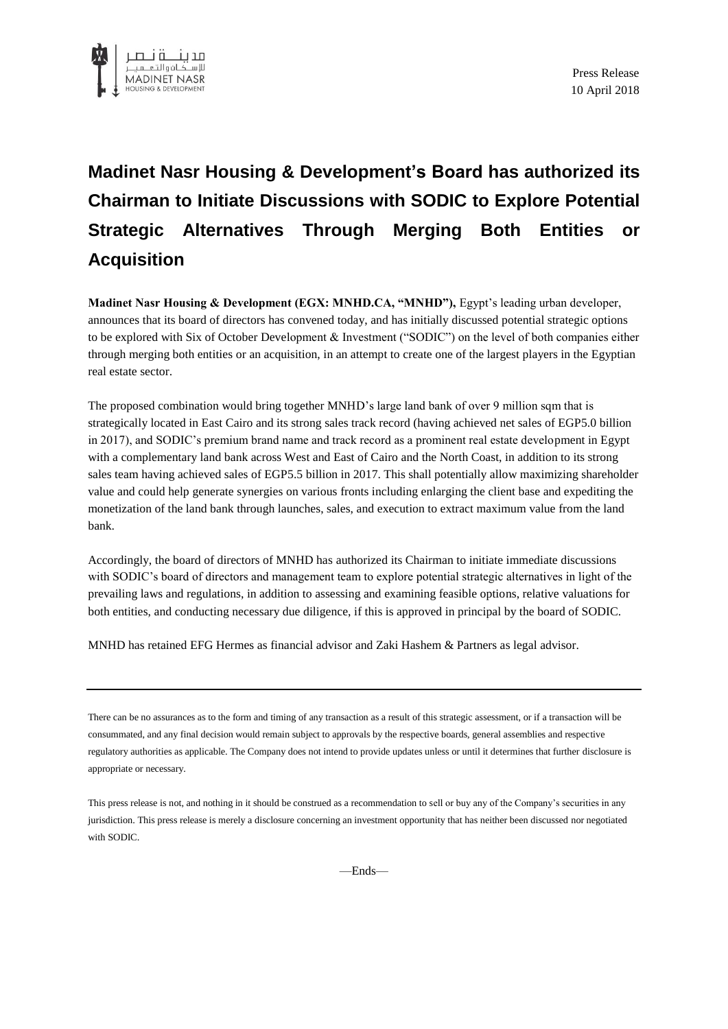

## **Madinet Nasr Housing & Development's Board has authorized its Chairman to Initiate Discussions with SODIC to Explore Potential Strategic Alternatives Through Merging Both Entities or Acquisition**

**Madinet Nasr Housing & Development (EGX: MNHD.CA, "MNHD"),** Egypt's leading urban developer, announces that its board of directors has convened today, and has initially discussed potential strategic options to be explored with Six of October Development & Investment ("SODIC") on the level of both companies either through merging both entities or an acquisition, in an attempt to create one of the largest players in the Egyptian real estate sector.

The proposed combination would bring together MNHD's large land bank of over 9 million sqm that is strategically located in East Cairo and its strong sales track record (having achieved net sales of EGP5.0 billion in 2017), and SODIC's premium brand name and track record as a prominent real estate development in Egypt with a complementary land bank across West and East of Cairo and the North Coast, in addition to its strong sales team having achieved sales of EGP5.5 billion in 2017. This shall potentially allow maximizing shareholder value and could help generate synergies on various fronts including enlarging the client base and expediting the monetization of the land bank through launches, sales, and execution to extract maximum value from the land bank.

Accordingly, the board of directors of MNHD has authorized its Chairman to initiate immediate discussions with SODIC's board of directors and management team to explore potential strategic alternatives in light of the prevailing laws and regulations, in addition to assessing and examining feasible options, relative valuations for both entities, and conducting necessary due diligence, if this is approved in principal by the board of SODIC.

MNHD has retained EFG Hermes as financial advisor and Zaki Hashem & Partners as legal advisor.

There can be no assurances as to the form and timing of any transaction as a result of this strategic assessment, or if a transaction will be consummated, and any final decision would remain subject to approvals by the respective boards, general assemblies and respective regulatory authorities as applicable. The Company does not intend to provide updates unless or until it determines that further disclosure is appropriate or necessary.

This press release is not, and nothing in it should be construed as a recommendation to sell or buy any of the Company's securities in any jurisdiction. This press release is merely a disclosure concerning an investment opportunity that has neither been discussed nor negotiated with SODIC.

—Ends—